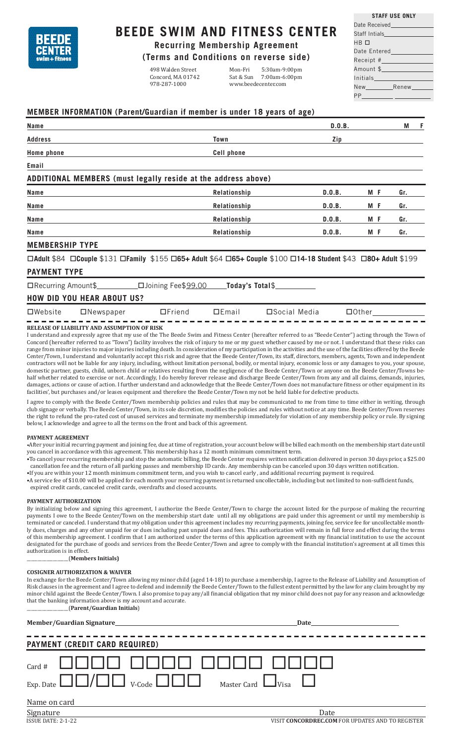

# **BEEDE SWIM AND FITNESS CENTER**

**Recurring Membership Agreement**

**(Terms and Conditions on reverse side)**

Concord, MA 01742<br>978-287-1000

498 Walden Street Mon-Fri 5:30am-9:00pm www.beedecenter.com

| Date Received <b>Contract Contract Contract Contract</b>                                                        |
|-----------------------------------------------------------------------------------------------------------------|
| Staff Intials_______________                                                                                    |
| НВ 口                                                                                                            |
| Date Entered and the state of the state of the state of the state of the state of the state of the state of th  |
| Receipt# Providence in the set of the set of the set of the set of the set of the set of the set of the set of  |
| Amount \$ Providence in the Second Second Second Second Second Second Second Second Second Second Second Second |
|                                                                                                                 |

**STAFF USE ONLY**

| Initials |       |
|----------|-------|
| New      | Renew |
| PP       |       |

### **MEMBER INFORMATION (Parent/Guardian if member is under 18 years of age)**

| <b>Name</b>                                                                                                    |                   | D.0.B.        |              | M   | - F |
|----------------------------------------------------------------------------------------------------------------|-------------------|---------------|--------------|-----|-----|
| <b>Address</b>                                                                                                 | Town              | Zip           |              |     |     |
| <b>Home phone</b>                                                                                              | <b>Cell phone</b> |               |              |     |     |
| Email                                                                                                          |                   |               |              |     |     |
| ADDITIONAL MEMBERS (must legally reside at the address above)                                                  |                   |               |              |     |     |
| Name                                                                                                           | Relationship      | D.0.B.        | M F          | Gr. |     |
| Name                                                                                                           | Relationship      | D.0.B.        | M F          | Gr. |     |
| <b>Name</b>                                                                                                    | Relationship      | D.0.B.        | M F          | Gr. |     |
| Name                                                                                                           | Relationship      | D.0.B.        | M F          | Gr. |     |
| <b>MEMBERSHIP TYPE</b>                                                                                         |                   |               |              |     |     |
| □Adult \$84 □Couple \$131 □Family \$155 □65+ Adult \$64 □65+ Couple \$100 □14-18 Student \$43 □80+ Adult \$199 |                   |               |              |     |     |
| <b>PAYMENT TYPE</b>                                                                                            |                   |               |              |     |     |
| □Joining Fee\$99.00<br>$\Box$ Recurring Amount\$                                                               | Today's Total\$   |               |              |     |     |
| <b>HOW DID YOU HEAR ABOUT US?</b>                                                                              |                   |               |              |     |     |
| $\Box$ Friend<br>$\Box$ Website<br>$\Box$ Newspaper                                                            | DEmail            | □Social Media | $\Box$ Other |     |     |

#### **RELEASE OF LIABILITY AND ASSUMPTION OF RISK**

I understand and expressly agree that my use of the The Beede Swim and Fitness Center (hereafter referred to as "Beede Center") acting through the Town of Concord (hereafter referred to as "Town") facility involves the risk of injury to me or my guest whether caused by me or not. I understand that these risks can range from minor injuries to major injuries including death. In consideration of my participation in the activities and the use of the facilities offered by the Beede Center/Town, I understand and voluntarily accept this risk and agree that the Beede Center/Town, its staff, directors, members, agents, Town and independent contractors will not be liable for any injury, including, without limitation personal, bodily, or mental injury, economic loss or any damages to you, your spouse, domestic partner, guests, child, unborn child or relatives resulting from the negligence of the Beede Center/Town or anyone on the Beede Center/Towns behalf whether related to exercise or not. Accordingly, I do hereby forever release and discharge Beede Center/Town from any and all claims, demands, injuries, damages, actions or cause of action. I further understand and acknowledge that the Beede Center/Town does not manufacture fitness or other equipment in its facilities', but purchases and/or leases equipment and therefore the Beede Center/Town my not be held liable for defective products

I agree to comply with the Beede Center/Town membership policies and rules that may be communicated to me from time to time either in writing, through club signage or verbally. The Beede Center/Town, in its sole discretion, modifies the policies and rules without notice at any time. Beede Center/Town reserves the right to refund the pro-rated cost of unused services and terminate my membership immediately for violation of any membership policy or rule. By signing below, I acknowledge and agree to all the terms on the front and back of this agreement.

#### **PAYMENT AGREEMENT**

•After your initial recurring payment and joining fee, due at time of registration, your account below will be billed each month on the membership start date until you cancel in accordance with this agreement. This membership has a 12 month minimum commitment term.

- •To cancel your recurring membership and stop the automatic billing, the Beede Center requires written notification delivered in person 30 days prior, a \$25.00 cancellation fee and the return of all parking passes and membership ID cards. Any membership can be canceled upon 30 days written notification.
- •If you are within your 12 month minimum commitment term, and you wish to cancel early , and additional recurring payment is required. •A service fee of \$10.00 will be applied for each month your recurring payment is returned uncollectable, including but not limited to non-sufficient funds,
- expired credit cards, canceled credit cards, overdrafts and closed accounts.

#### **PAYMENT AUTHORIZATION**

By initializing below and signing this agreement, I authorize the Beede Center/Town to charge the account listed for the purpose of making the recurring payments I owe to the Beede Center/Town on the membership start date until all my obligations are paid under this agreement or until my membership is terminated or canceled. I understand that my obligation under this agreement includes my recurring payments, joining fee, service fee for uncollectable monthly dues, charges and any other unpaid fee or dues including past unpaid dues and fees. This authorization will remain in full force and effect during the terms of this membership agreement. I confirm that I am authorized under the terms of this application agreement with my financial institution to use the account designated for the purchase of goods and services from the Beede Center/Town and agree to comply with the financial institution's agreement at all times this authorization is in effect.

\_\_\_\_\_\_\_\_\_\_\_\_\_\_\_\_\_\_\_(**Members Initials)**

#### **COSIGNER AUTHORIZATION & WAIVER**

In exchange for the Beede Center/Town allowing my minor child (aged 14-18) to purchase a membership, I agree to the Release of Liability and Assumption of Risk clauses in the agreement and I agree to defend and indemnify the Beede Center/Town to the fullest extent permitted by the law for any claim brought by my minor child against the Beede Center/Town. I also promise to pay any/all financial obligation that my minor child does not pay for any reason and acknowledge that the banking information above is my account and accurate. \_\_\_\_\_\_\_\_\_\_\_\_\_\_\_\_\_\_\_(**Parent/Guardian Initials**)

|              | Date                                  |
|--------------|---------------------------------------|
|              | <b>PAYMENT (CREDIT CARD REQUIRED)</b> |
|              |                                       |
| Name on card |                                       |
| $Cion + \nu$ | $D_{\alpha+\alpha}$                   |